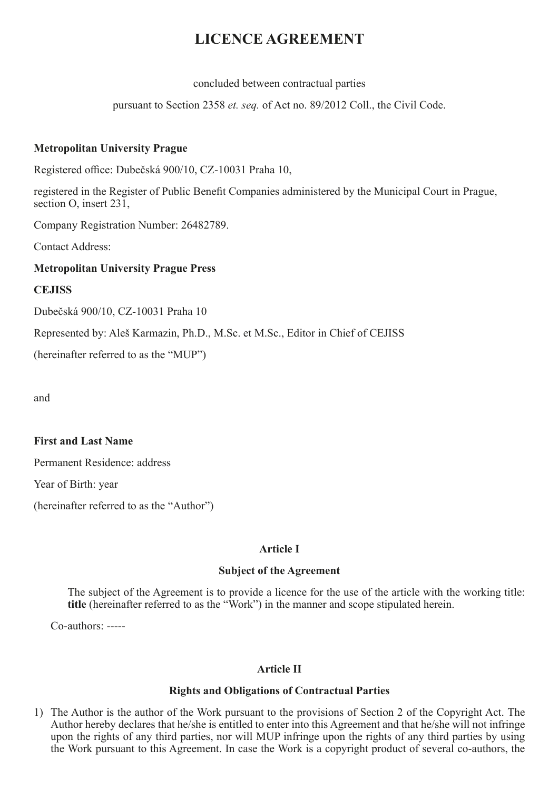# **LICENCE AGREEMENT**

concluded between contractual parties

pursuant to Section 2358 *et. seq.* of Act no. 89/2012 Coll., the Civil Code.

## **Metropolitan University Prague**

Registered office: Dubečská 900/10, CZ-10031 Praha 10,

registered in the Register of Public Benefit Companies administered by the Municipal Court in Prague, section O, insert 231,

Company Registration Number: 26482789.

Contact Address:

## **Metropolitan University Prague Press**

## **CEJISS**

Dubečská 900/10, CZ-10031 Praha 10

Represented by: Aleš Karmazin, Ph.D., M.Sc. et M.Sc., Editor in Chief of CEJISS

(hereinafter referred to as the "MUP")

and

#### **First and Last Name**

Permanent Residence: address

Year of Birth: year

(hereinafter referred to as the "Author")

# **Article I**

#### **Subject of the Agreement**

The subject of the Agreement is to provide a licence for the use of the article with the working title: **title** (hereinafter referred to as the "Work") in the manner and scope stipulated herein.

Co-authors: -----

# **Article II**

#### **Rights and Obligations of Contractual Parties**

1) The Author is the author of the Work pursuant to the provisions of Section 2 of the Copyright Act. The Author hereby declares that he/she is entitled to enter into this Agreement and that he/she will not infringe upon the rights of any third parties, nor will MUP infringe upon the rights of any third parties by using the Work pursuant to this Agreement. In case the Work is a copyright product of several co-authors, the